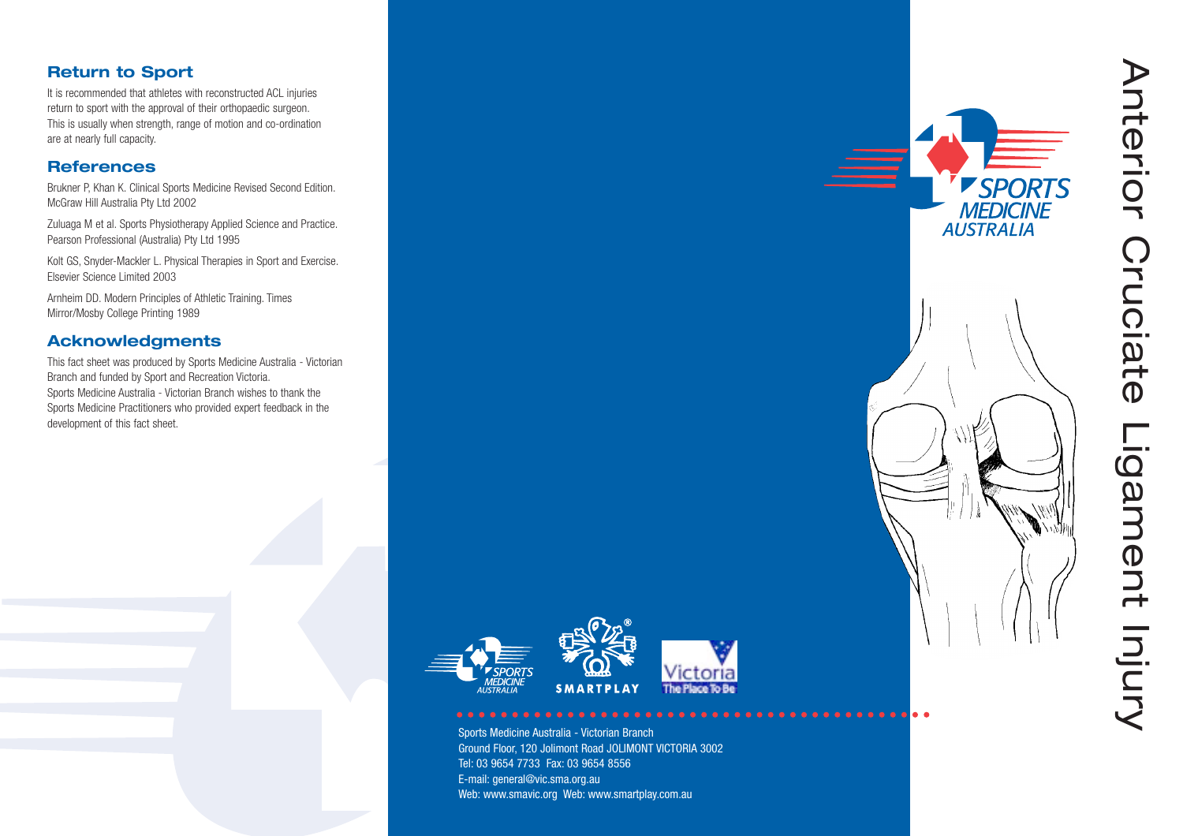

Ground Floor, 120 Jolimont Road JOLIMONT VICTORIA 3002 Tel: 03 9654 7733 Fax: 03 9654 8556E-mail: general@vic.sma.org.au Web: www.smavic.org Web: www.smartplay.com.au